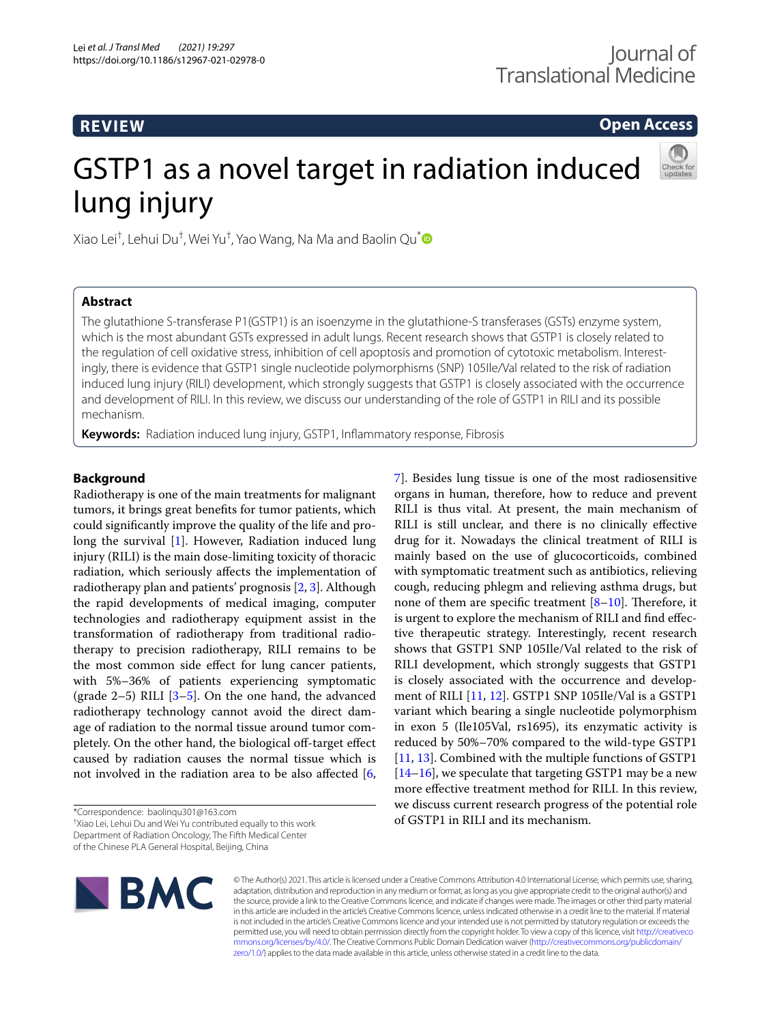# **REVIEW**

[7\]](#page-3-5). Besides lung tissue is one of the most radiosensitive organs in human, therefore, how to reduce and prevent RILI is thus vital. At present, the main mechanism of RILI is still unclear, and there is no clinically efective drug for it. Nowadays the clinical treatment of RILI is mainly based on the use of glucocorticoids, combined with symptomatic treatment such as antibiotics, relieving cough, reducing phlegm and relieving asthma drugs, but none of them are specific treatment  $[8-10]$  $[8-10]$ . Therefore, it is urgent to explore the mechanism of RILI and fnd efective therapeutic strategy. Interestingly, recent research shows that GSTP1 SNP 105Ile/Val related to the risk of RILI development, which strongly suggests that GSTP1 is closely associated with the occurrence and development of RILI [[11](#page-3-8), [12](#page-3-9)]. GSTP1 SNP 105Ile/Val is a GSTP1 variant which bearing a single nucleotide polymorphism in exon 5 (Ile105Val, rs1695), its enzymatic activity is reduced by 50%–70% compared to the wild-type GSTP1 [[11,](#page-3-8) [13](#page-3-10)]. Combined with the multiple functions of GSTP1 [[14–](#page-3-11)[16\]](#page-3-12), we speculate that targeting GSTP1 may be a new more efective treatment method for RILI. In this review, we discuss current research progress of the potential role

**Open Access**

# GSTP1 as a novel target in radiation induced lung injury



## **Abstract**

The glutathione S-transferase P1(GSTP1) is an isoenzyme in the glutathione-S transferases (GSTs) enzyme system, which is the most abundant GSTs expressed in adult lungs. Recent research shows that GSTP1 is closely related to the regulation of cell oxidative stress, inhibition of cell apoptosis and promotion of cytotoxic metabolism. Interestingly, there is evidence that GSTP1 single nucleotide polymorphisms (SNP) 105Ile/Val related to the risk of radiation induced lung injury (RILI) development, which strongly suggests that GSTP1 is closely associated with the occurrence and development of RILI. In this review, we discuss our understanding of the role of GSTP1 in RILI and its possible mechanism.

**Keywords:** Radiation induced lung injury, GSTP1, Infammatory response, Fibrosis

## **Background**

Radiotherapy is one of the main treatments for malignant tumors, it brings great benefts for tumor patients, which could signifcantly improve the quality of the life and prolong the survival [\[1\]](#page-3-0). However, Radiation induced lung injury (RILI) is the main dose-limiting toxicity of thoracic radiation, which seriously afects the implementation of radiotherapy plan and patients' prognosis [\[2](#page-3-1), [3](#page-3-2)]. Although the rapid developments of medical imaging, computer technologies and radiotherapy equipment assist in the transformation of radiotherapy from traditional radiotherapy to precision radiotherapy, RILI remains to be the most common side efect for lung cancer patients, with 5%–36% of patients experiencing symptomatic (grade  $2-5$ ) RILI  $[3-5]$  $[3-5]$ . On the one hand, the advanced radiotherapy technology cannot avoid the direct damage of radiation to the normal tissue around tumor completely. On the other hand, the biological off-target effect caused by radiation causes the normal tissue which is not involved in the radiation area to be also afected [\[6](#page-3-4),

\*Correspondence: baolinqu301@163.com

† Xiao Lei, Lehui Du and Wei Yu contributed equally to this work

Department of Radiation Oncology, The Fifth Medical Center

of the Chinese PLA General Hospital, Beijing, China



© The Author(s) 2021. This article is licensed under a Creative Commons Attribution 4.0 International License, which permits use, sharing, adaptation, distribution and reproduction in any medium or format, as long as you give appropriate credit to the original author(s) and the source, provide a link to the Creative Commons licence, and indicate if changes were made. The images or other third party material in this article are included in the article's Creative Commons licence, unless indicated otherwise in a credit line to the material. If material is not included in the article's Creative Commons licence and your intended use is not permitted by statutory regulation or exceeds the permitted use, you will need to obtain permission directly from the copyright holder. To view a copy of this licence, visit [http://creativeco](http://creativecommons.org/licenses/by/4.0/) [mmons.org/licenses/by/4.0/.](http://creativecommons.org/licenses/by/4.0/) The Creative Commons Public Domain Dedication waiver ([http://creativecommons.org/publicdomain/](http://creativecommons.org/publicdomain/zero/1.0/) [zero/1.0/\)](http://creativecommons.org/publicdomain/zero/1.0/) applies to the data made available in this article, unless otherwise stated in a credit line to the data.

of GSTP1 in RILI and its mechanism.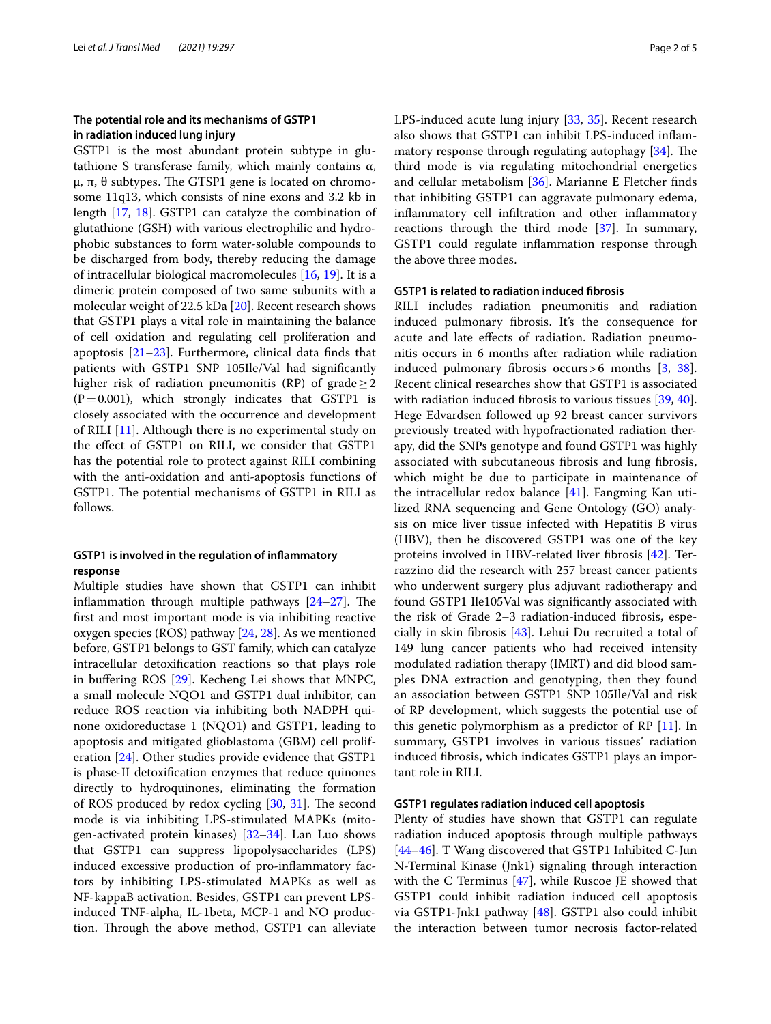## **The potential role and its mechanisms of GSTP1 in radiation induced lung injury**

GSTP1 is the most abundant protein subtype in glutathione S transferase family, which mainly contains α, μ, π, θ subtypes. The GTSP1 gene is located on chromosome 11q13, which consists of nine exons and 3.2 kb in length [\[17](#page-3-13), [18\]](#page-3-14). GSTP1 can catalyze the combination of glutathione (GSH) with various electrophilic and hydrophobic substances to form water-soluble compounds to be discharged from body, thereby reducing the damage of intracellular biological macromolecules [\[16,](#page-3-12) [19\]](#page-3-15). It is a dimeric protein composed of two same subunits with a molecular weight of 22.5 kDa [\[20\]](#page-3-16). Recent research shows that GSTP1 plays a vital role in maintaining the balance of cell oxidation and regulating cell proliferation and apoptosis  $[21-23]$  $[21-23]$  $[21-23]$ . Furthermore, clinical data finds that patients with GSTP1 SNP 105Ile/Val had signifcantly higher risk of radiation pneumonitis (RP) of grade  $>2$  $(P=0.001)$ , which strongly indicates that GSTP1 is closely associated with the occurrence and development of RILI [\[11\]](#page-3-8). Although there is no experimental study on the efect of GSTP1 on RILI, we consider that GSTP1 has the potential role to protect against RILI combining with the anti-oxidation and anti-apoptosis functions of GSTP1. The potential mechanisms of GSTP1 in RILI as follows.

## **GSTP1 is involved in the regulation of infammatory response**

Multiple studies have shown that GSTP1 can inhibit inflammation through multiple pathways  $[24-27]$  $[24-27]$ . The frst and most important mode is via inhibiting reactive oxygen species (ROS) pathway  $[24, 28]$  $[24, 28]$  $[24, 28]$  $[24, 28]$ . As we mentioned before, GSTP1 belongs to GST family, which can catalyze intracellular detoxifcation reactions so that plays role in bufering ROS [\[29](#page-3-22)]. Kecheng Lei shows that MNPC, a small molecule NQO1 and GSTP1 dual inhibitor, can reduce ROS reaction via inhibiting both NADPH quinone oxidoreductase 1 (NQO1) and GSTP1, leading to apoptosis and mitigated glioblastoma (GBM) cell proliferation [[24\]](#page-3-19). Other studies provide evidence that GSTP1 is phase-II detoxifcation enzymes that reduce quinones directly to hydroquinones, eliminating the formation of ROS produced by redox cycling  $[30, 31]$  $[30, 31]$  $[30, 31]$  $[30, 31]$  $[30, 31]$ . The second mode is via inhibiting LPS-stimulated MAPKs (mitogen-activated protein kinases)  $[32-34]$  $[32-34]$ . Lan Luo shows that GSTP1 can suppress lipopolysaccharides (LPS) induced excessive production of pro-infammatory factors by inhibiting LPS-stimulated MAPKs as well as NF-kappaB activation. Besides, GSTP1 can prevent LPSinduced TNF-alpha, IL-1beta, MCP-1 and NO production. Through the above method, GSTP1 can alleviate LPS-induced acute lung injury [[33](#page-4-1), [35\]](#page-4-2). Recent research also shows that GSTP1 can inhibit LPS-induced infammatory response through regulating autophagy  $[34]$ . The third mode is via regulating mitochondrial energetics and cellular metabolism [\[36](#page-4-3)]. Marianne E Fletcher fnds that inhibiting GSTP1 can aggravate pulmonary edema, infammatory cell infltration and other infammatory reactions through the third mode [[37\]](#page-4-4). In summary, GSTP1 could regulate infammation response through the above three modes.

## **GSTP1 is related to radiation induced fbrosis**

RILI includes radiation pneumonitis and radiation induced pulmonary fbrosis. It's the consequence for acute and late efects of radiation. Radiation pneumonitis occurs in 6 months after radiation while radiation induced pulmonary fbrosis occurs>6 months [\[3](#page-3-2), [38](#page-4-5)]. Recent clinical researches show that GSTP1 is associated with radiation induced fibrosis to various tissues [[39,](#page-4-6) [40](#page-4-7)]. Hege Edvardsen followed up 92 breast cancer survivors previously treated with hypofractionated radiation therapy, did the SNPs genotype and found GSTP1 was highly associated with subcutaneous fbrosis and lung fbrosis, which might be due to participate in maintenance of the intracellular redox balance [[41\]](#page-4-8). Fangming Kan utilized RNA sequencing and Gene Ontology (GO) analysis on mice liver tissue infected with Hepatitis B virus (HBV), then he discovered GSTP1 was one of the key proteins involved in HBV-related liver fbrosis [[42\]](#page-4-9). Terrazzino did the research with 257 breast cancer patients who underwent surgery plus adjuvant radiotherapy and found GSTP1 Ile105Val was signifcantly associated with the risk of Grade 2–3 radiation-induced fbrosis, especially in skin fbrosis [[43\]](#page-4-10). Lehui Du recruited a total of 149 lung cancer patients who had received intensity modulated radiation therapy (IMRT) and did blood samples DNA extraction and genotyping, then they found an association between GSTP1 SNP 105Ile/Val and risk of RP development, which suggests the potential use of this genetic polymorphism as a predictor of RP  $[11]$ . In summary, GSTP1 involves in various tissues' radiation induced fbrosis, which indicates GSTP1 plays an important role in RILI.

## **GSTP1 regulates radiation induced cell apoptosis**

Plenty of studies have shown that GSTP1 can regulate radiation induced apoptosis through multiple pathways [[44–](#page-4-11)[46\]](#page-4-12). T Wang discovered that GSTP1 Inhibited C-Jun N-Terminal Kinase (Jnk1) signaling through interaction with the C Terminus [[47\]](#page-4-13), while Ruscoe JE showed that GSTP1 could inhibit radiation induced cell apoptosis via GSTP1-Jnk1 pathway [[48\]](#page-4-14). GSTP1 also could inhibit the interaction between tumor necrosis factor-related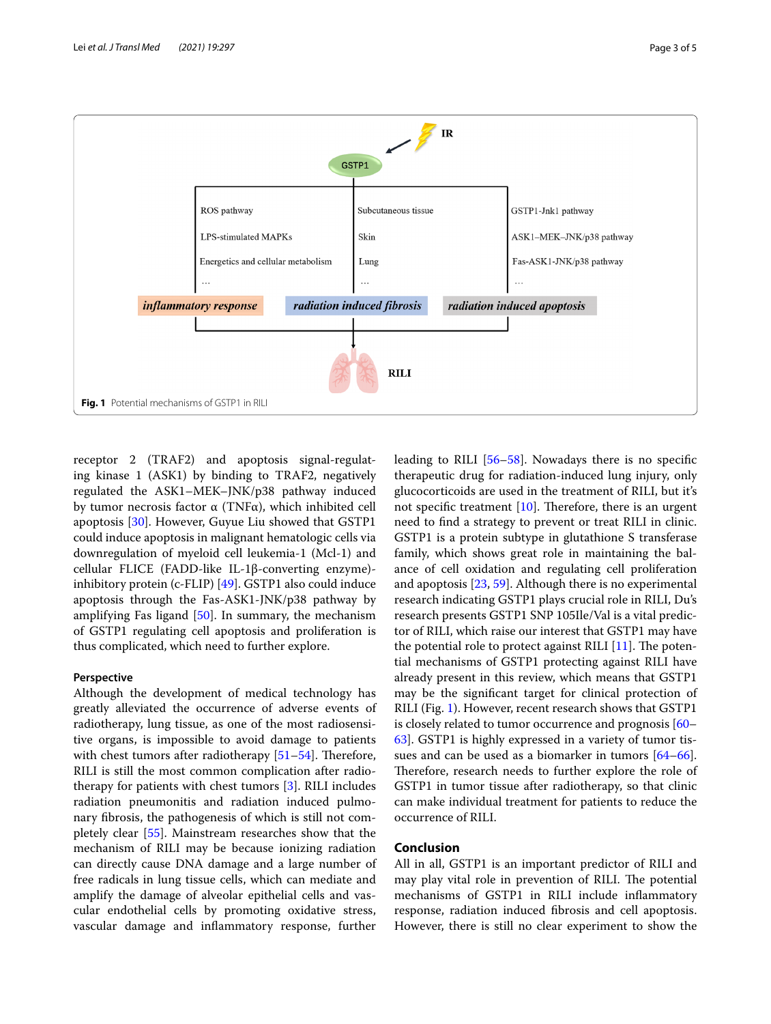

<span id="page-2-0"></span>receptor 2 (TRAF2) and apoptosis signal-regulating kinase 1 (ASK1) by binding to TRAF2, negatively regulated the ASK1–MEK–JNK/p38 pathway induced by tumor necrosis factor α (TNFα), which inhibited cell apoptosis [[30\]](#page-3-23). However, Guyue Liu showed that GSTP1 could induce apoptosis in malignant hematologic cells via downregulation of myeloid cell leukemia-1 (Mcl-1) and cellular FLICE (FADD-like IL-1β-converting enzyme) inhibitory protein (c-FLIP) [[49\]](#page-4-15). GSTP1 also could induce apoptosis through the Fas-ASK1-JNK/p38 pathway by amplifying Fas ligand [\[50](#page-4-16)]. In summary, the mechanism of GSTP1 regulating cell apoptosis and proliferation is thus complicated, which need to further explore.

### **Perspective**

Although the development of medical technology has greatly alleviated the occurrence of adverse events of radiotherapy, lung tissue, as one of the most radiosensitive organs, is impossible to avoid damage to patients with chest tumors after radiotherapy  $[51–54]$  $[51–54]$  $[51–54]$  $[51–54]$ . Therefore, RILI is still the most common complication after radiotherapy for patients with chest tumors [[3\]](#page-3-2). RILI includes radiation pneumonitis and radiation induced pulmonary fbrosis, the pathogenesis of which is still not completely clear [[55\]](#page-4-19). Mainstream researches show that the mechanism of RILI may be because ionizing radiation can directly cause DNA damage and a large number of free radicals in lung tissue cells, which can mediate and amplify the damage of alveolar epithelial cells and vascular endothelial cells by promoting oxidative stress, vascular damage and infammatory response, further leading to RILI [\[56](#page-4-20)[–58\]](#page-4-21). Nowadays there is no specifc therapeutic drug for radiation-induced lung injury, only glucocorticoids are used in the treatment of RILI, but it's not specific treatment  $[10]$  $[10]$ . Therefore, there is an urgent need to fnd a strategy to prevent or treat RILI in clinic. GSTP1 is a protein subtype in glutathione S transferase family, which shows great role in maintaining the balance of cell oxidation and regulating cell proliferation and apoptosis [[23](#page-3-18), [59\]](#page-4-22). Although there is no experimental research indicating GSTP1 plays crucial role in RILI, Du's research presents GSTP1 SNP 105Ile/Val is a vital predictor of RILI, which raise our interest that GSTP1 may have the potential role to protect against RILI  $[11]$  $[11]$ . The potential mechanisms of GSTP1 protecting against RILI have already present in this review, which means that GSTP1 may be the signifcant target for clinical protection of RILI (Fig. [1](#page-2-0)). However, recent research shows that GSTP1 is closely related to tumor occurrence and prognosis [[60–](#page-4-23) [63\]](#page-4-24). GSTP1 is highly expressed in a variety of tumor tissues and can be used as a biomarker in tumors [[64](#page-4-25)[–66](#page-4-26)]. Therefore, research needs to further explore the role of GSTP1 in tumor tissue after radiotherapy, so that clinic can make individual treatment for patients to reduce the occurrence of RILI.

## **Conclusion**

All in all, GSTP1 is an important predictor of RILI and may play vital role in prevention of RILI. The potential mechanisms of GSTP1 in RILI include infammatory response, radiation induced fbrosis and cell apoptosis. However, there is still no clear experiment to show the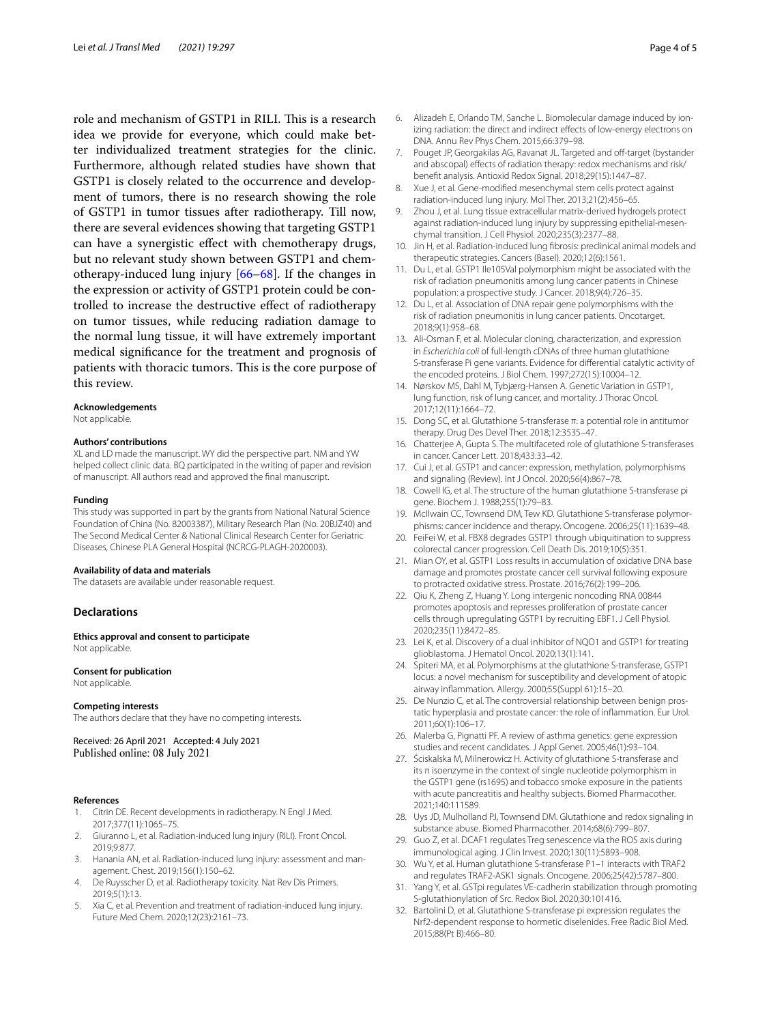role and mechanism of GSTP1 in RILI. This is a research idea we provide for everyone, which could make better individualized treatment strategies for the clinic. Furthermore, although related studies have shown that GSTP1 is closely related to the occurrence and development of tumors, there is no research showing the role of GSTP1 in tumor tissues after radiotherapy. Till now, there are several evidences showing that targeting GSTP1 can have a synergistic efect with chemotherapy drugs, but no relevant study shown between GSTP1 and chemotherapy-induced lung injury [\[66](#page-4-26)[–68](#page-4-27)]. If the changes in the expression or activity of GSTP1 protein could be controlled to increase the destructive efect of radiotherapy on tumor tissues, while reducing radiation damage to the normal lung tissue, it will have extremely important medical signifcance for the treatment and prognosis of patients with thoracic tumors. This is the core purpose of this review.

#### **Acknowledgements**

Not applicable.

#### **Authors' contributions**

XL and LD made the manuscript. WY did the perspective part. NM and YW helped collect clinic data. BQ participated in the writing of paper and revision of manuscript. All authors read and approved the fnal manuscript.

#### **Funding**

This study was supported in part by the grants from National Natural Science Foundation of China (No. 82003387), Military Research Plan (No. 20BJZ40) and The Second Medical Center & National Clinical Research Center for Geriatric Diseases, Chinese PLA General Hospital (NCRCG-PLAGH-2020003).

#### **Availability of data and materials**

The datasets are available under reasonable request.

## **Declarations**

**Ethics approval and consent to participate** Not applicable.

#### **Consent for publication**

Not applicable.

#### **Competing interests**

The authors declare that they have no competing interests.

Received: 26 April 2021 Accepted: 4 July 2021 Published online: 08 July 2021

#### **References**

- <span id="page-3-0"></span>1. Citrin DE. Recent developments in radiotherapy. N Engl J Med. 2017;377(11):1065–75.
- <span id="page-3-1"></span>2. Giuranno L, et al. Radiation-induced lung injury (RILI). Front Oncol. 2019;9:877.
- <span id="page-3-2"></span>3. Hanania AN, et al. Radiation-induced lung injury: assessment and management. Chest. 2019;156(1):150–62.
- 4. De Ruysscher D, et al. Radiotherapy toxicity. Nat Rev Dis Primers. 2019;5(1):13.
- <span id="page-3-3"></span>5. Xia C, et al. Prevention and treatment of radiation-induced lung injury. Future Med Chem. 2020;12(23):2161–73.
- <span id="page-3-4"></span>6. Alizadeh E, Orlando TM, Sanche L. Biomolecular damage induced by ionizing radiation: the direct and indirect effects of low-energy electrons on DNA. Annu Rev Phys Chem. 2015;66:379–98.
- <span id="page-3-5"></span>7. Pouget JP, Georgakilas AG, Ravanat JL. Targeted and off-target (bystander and abscopal) effects of radiation therapy: redox mechanisms and risk/ beneft analysis. Antioxid Redox Signal. 2018;29(15):1447–87.
- <span id="page-3-6"></span>8. Xue J, et al. Gene-modifed mesenchymal stem cells protect against radiation-induced lung injury. Mol Ther. 2013;21(2):456–65.
- Zhou J, et al. Lung tissue extracellular matrix-derived hydrogels protect against radiation-induced lung injury by suppressing epithelial-mesenchymal transition. J Cell Physiol. 2020;235(3):2377–88.
- <span id="page-3-7"></span>10. Jin H, et al. Radiation-induced lung fbrosis: preclinical animal models and therapeutic strategies. Cancers (Basel). 2020;12(6):1561.
- <span id="page-3-8"></span>11. Du L, et al. GSTP1 Ile105Val polymorphism might be associated with the risk of radiation pneumonitis among lung cancer patients in Chinese population: a prospective study. J Cancer. 2018;9(4):726–35.
- <span id="page-3-9"></span>12. Du L, et al. Association of DNA repair gene polymorphisms with the risk of radiation pneumonitis in lung cancer patients. Oncotarget. 2018;9(1):958–68.
- <span id="page-3-10"></span>13. Ali-Osman F, et al. Molecular cloning, characterization, and expression in *Escherichia coli* of full-length cDNAs of three human glutathione S-transferase Pi gene variants. Evidence for diferential catalytic activity of the encoded proteins. J Biol Chem. 1997;272(15):10004–12.
- <span id="page-3-11"></span>14. Nørskov MS, Dahl M, Tybjærg-Hansen A. Genetic Variation in GSTP1, lung function, risk of lung cancer, and mortality. J Thorac Oncol. 2017;12(11):1664–72.
- 15. Dong SC, et al. Glutathione S-transferase π: a potential role in antitumor therapy. Drug Des Devel Ther. 2018;12:3535–47.
- <span id="page-3-12"></span>16. Chatterjee A, Gupta S. The multifaceted role of glutathione S-transferases in cancer. Cancer Lett. 2018;433:33–42.
- <span id="page-3-13"></span>17. Cui J, et al. GSTP1 and cancer: expression, methylation, polymorphisms and signaling (Review). Int J Oncol. 2020;56(4):867–78.
- <span id="page-3-14"></span>18. Cowell IG, et al. The structure of the human glutathione S-transferase pi gene. Biochem J. 1988;255(1):79–83.
- <span id="page-3-15"></span>19. McIlwain CC, Townsend DM, Tew KD. Glutathione S-transferase polymorphisms: cancer incidence and therapy. Oncogene. 2006;25(11):1639–48.
- <span id="page-3-16"></span>20. FeiFei W, et al. FBX8 degrades GSTP1 through ubiquitination to suppress colorectal cancer progression. Cell Death Dis. 2019;10(5):351.
- <span id="page-3-17"></span>21. Mian OY, et al. GSTP1 Loss results in accumulation of oxidative DNA base damage and promotes prostate cancer cell survival following exposure to protracted oxidative stress. Prostate. 2016;76(2):199–206.
- 22. Qiu K, Zheng Z, Huang Y. Long intergenic noncoding RNA 00844 promotes apoptosis and represses proliferation of prostate cancer cells through upregulating GSTP1 by recruiting EBF1. J Cell Physiol. 2020;235(11):8472–85.
- <span id="page-3-18"></span>23. Lei K, et al. Discovery of a dual inhibitor of NQO1 and GSTP1 for treating glioblastoma. J Hematol Oncol. 2020;13(1):141.
- <span id="page-3-19"></span>24. Spiteri MA, et al. Polymorphisms at the glutathione S-transferase, GSTP1 locus: a novel mechanism for susceptibility and development of atopic airway infammation. Allergy. 2000;55(Suppl 61):15–20.
- 25. De Nunzio C, et al. The controversial relationship between benign prostatic hyperplasia and prostate cancer: the role of infammation. Eur Urol. 2011;60(1):106–17.
- 26. Malerba G, Pignatti PF. A review of asthma genetics: gene expression studies and recent candidates. J Appl Genet. 2005;46(1):93–104.
- <span id="page-3-20"></span>27. Ściskalska M, Milnerowicz H. Activity of glutathione S-transferase and its π isoenzyme in the context of single nucleotide polymorphism in the GSTP1 gene (rs1695) and tobacco smoke exposure in the patients with acute pancreatitis and healthy subjects. Biomed Pharmacother. 2021;140:111589.
- <span id="page-3-21"></span>28. Uys JD, Mulholland PJ, Townsend DM. Glutathione and redox signaling in substance abuse. Biomed Pharmacother. 2014;68(6):799–807.
- <span id="page-3-22"></span>29. Guo Z, et al. DCAF1 regulates Treg senescence via the ROS axis during immunological aging. J Clin Invest. 2020;130(11):5893–908.
- <span id="page-3-23"></span>30. Wu Y, et al. Human glutathione S-transferase P1–1 interacts with TRAF2 and regulates TRAF2-ASK1 signals. Oncogene. 2006;25(42):5787–800.
- <span id="page-3-24"></span>31. Yang Y, et al. GSTpi regulates VE-cadherin stabilization through promoting S-glutathionylation of Src. Redox Biol. 2020;30:101416.
- <span id="page-3-25"></span>32. Bartolini D, et al. Glutathione S-transferase pi expression regulates the Nrf2-dependent response to hormetic diselenides. Free Radic Biol Med. 2015;88(Pt B):466–80.